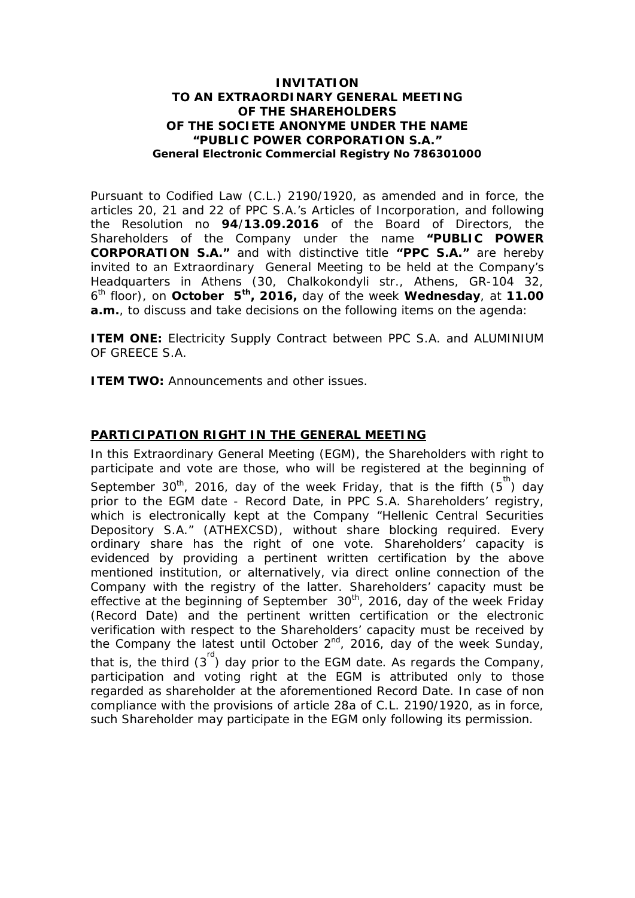### **INVITATION TO AN EXTRAORDINARY GENERAL MEETING OF THE SHAREHOLDERS OF THE SOCIETE ANONYME UNDER THE NAME "PUBLIC POWER CORPORATION S.A." General Electronic Commercial Registry No 786301000**

Pursuant to Codified Law (C.L.) 2190/1920, as amended and in force, the articles 20, 21 and 22 of PPC S.A.'s Articles of Incorporation, and following the Resolution no **94**/**13.09.2016** of the Board of Directors, the Shareholders of the Company under the name **"PUBLIC POWER CORPORATION S.A."** and with distinctive title **"PPC S.A."** are hereby invited to an Extraordinary General Meeting to be held at the Company's Headquarters in Athens (30, Chalkokondyli str., Athens, GR-104 32, 6 th floor), on **October 5th, 2016,** day of the week **Wednesday**, at **11.00 a.m.**, to discuss and take decisions on the following items on the agenda:

**ITEM ONE:** Electricity Supply Contract between PPC S.A. and ALUMINIUM OF GREECE S.A.

**ITEM TWO:** Announcements and other issues.

## **PARTICIPATION RIGHT IN THE GENERAL MEETING**

In this Extraordinary General Meeting (EGM), the Shareholders with right to participate and vote are those, who will be registered at the beginning of September 30<sup>th</sup>, 2016, day of the week Friday, that is the fifth  $(5^{\text{th}})$  day prior to the EGM date - Record Date, in PPC S.A. Shareholders' registry, which is electronically kept at the Company "Hellenic Central Securities Depository S.A." (ATHEXCSD), without share blocking required. Every ordinary share has the right of one vote. Shareholders' capacity is evidenced by providing a pertinent written certification by the above mentioned institution, or alternatively, via direct online connection of the Company with the registry of the latter. Shareholders' capacity must be effective at the beginning of September  $30<sup>th</sup>$ , 2016, day of the week Friday (Record Date) and the pertinent written certification or the electronic verification with respect to the Shareholders' capacity must be received by the Company the latest until October  $2^{nd}$ , 2016, day of the week Sunday, that is, the third  $(3^{rd})$  day prior to the EGM date. As regards the Company, participation and voting right at the EGM is attributed only to those regarded as shareholder at the aforementioned Record Date. In case of non compliance with the provisions of article 28a of C.L. 2190/1920, as in force, such Shareholder may participate in the EGM only following its permission.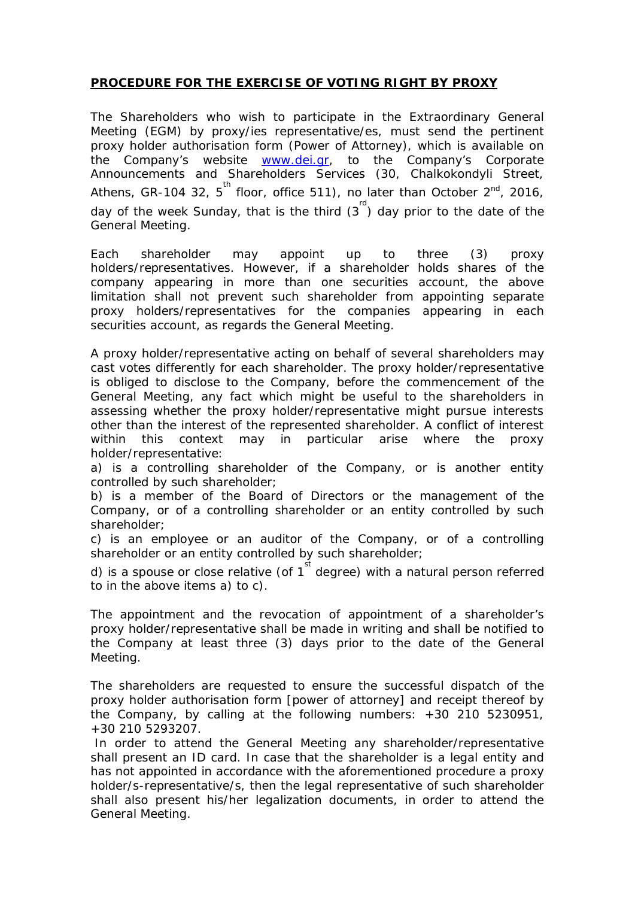## **PROCEDURE FOR THE EXERCISE OF VOTING RIGHT BY PROXY**

The Shareholders who wish to participate in the Extraordinary General Meeting (EGM) by proxy/ies representative/es, must send the pertinent proxy holder authorisation form (Power of Attorney), which is available on the Company's website [www.dei.gr](http://www.dei.gr/), to the Company's Corporate Announcements and Shareholders Services (30, Chalkokondyli Street, Athens, GR-104 32,  $5^{\text{th}}$  floor, office 511), no later than October  $2^{\text{nd}}$ , 2016, day of the week Sunday, that is the third  $(3^{\text{rd}})$  day prior to the date of the General Meeting.

Each shareholder may appoint up to three (3) proxy holders/representatives. However, if a shareholder holds shares of the company appearing in more than one securities account, the above limitation shall not prevent such shareholder from appointing separate proxy holders/representatives for the companies appearing in each securities account, as regards the General Meeting.

A proxy holder/representative acting on behalf of several shareholders may cast votes differently for each shareholder. The proxy holder/representative is obliged to disclose to the Company, before the commencement of the General Meeting, any fact which might be useful to the shareholders in assessing whether the proxy holder/representative might pursue interests other than the interest of the represented shareholder. A conflict of interest within this context may in particular arise where the proxy holder/representative:

a) is a controlling shareholder of the Company, or is another entity controlled by such shareholder;

b) is a member of the Board of Directors or the management of the Company, or of a controlling shareholder or an entity controlled by such shareholder;

c) is an employee or an auditor of the Company, or of a controlling shareholder or an entity controlled by such shareholder;

d) is a spouse or close relative (of 1  $\overline{S}^{\text{st}}$  degree) with a natural person referred to in the above items a) to c).

The appointment and the revocation of appointment of a shareholder's proxy holder/representative shall be made in writing and shall be notified to the Company at least three (3) days prior to the date of the General Meeting.

The shareholders are requested to ensure the successful dispatch of the proxy holder authorisation form [power of attorney] and receipt thereof by the Company, by calling at the following numbers: +30 210 5230951, +30 210 5293207.

 In order to attend the General Meeting any shareholder/representative shall present an ID card. In case that the shareholder is a legal entity and has not appointed in accordance with the aforementioned procedure a proxy holder/s-representative/s, then the legal representative of such shareholder shall also present his/her legalization documents, in order to attend the General Meeting.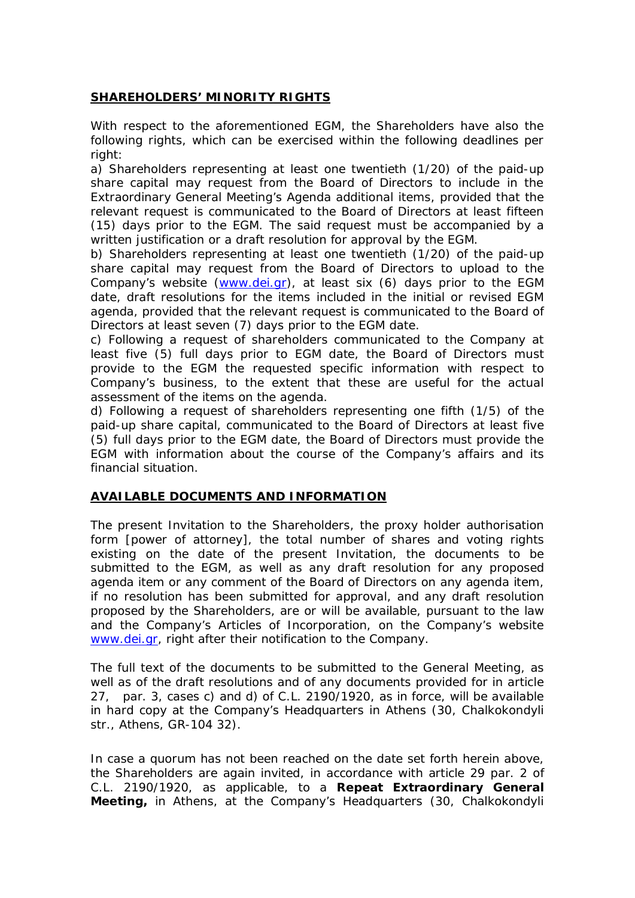# **SHAREHOLDERS' MINORITY RIGHTS**

With respect to the aforementioned EGM, the Shareholders have also the following rights, which can be exercised within the following deadlines per right:

a) Shareholders representing at least one twentieth (1/20) of the paid-up share capital may request from the Board of Directors to include in the Extraordinary General Meeting's Agenda additional items, provided that the relevant request is communicated to the Board of Directors at least fifteen (15) days prior to the EGM. The said request must be accompanied by a written justification or a draft resolution for approval by the EGM.

b) Shareholders representing at least one twentieth (1/20) of the paid-up share capital may request from the Board of Directors to upload to the Company's website ([www.dei.gr](http://www.dei.gr/)), at least six (6) days prior to the EGM date, draft resolutions for the items included in the initial or revised EGM agenda, provided that the relevant request is communicated to the Board of Directors at least seven (7) days prior to the EGM date.

c) Following a request of shareholders communicated to the Company at least five (5) full days prior to EGM date, the Board of Directors must provide to the EGM the requested specific information with respect to Company's business, to the extent that these are useful for the actual assessment of the items on the agenda.

d) Following a request of shareholders representing one fifth (1/5) of the paid-up share capital, communicated to the Board of Directors at least five (5) full days prior to the EGM date, the Board of Directors must provide the EGM with information about the course of the Company's affairs and its financial situation.

### **AVAILABLE DOCUMENTS AND INFORMATION**

The present Invitation to the Shareholders, the proxy holder authorisation form [power of attorney], the total number of shares and voting rights existing on the date of the present Invitation, the documents to be submitted to the EGM, as well as any draft resolution for any proposed agenda item or any comment of the Board of Directors on any agenda item, if no resolution has been submitted for approval, and any draft resolution proposed by the Shareholders, are or will be available, pursuant to the law and the Company's Articles of Incorporation, on the Company's website [www.dei.gr](http://www.dei.gr/), right after their notification to the Company.

The full text of the documents to be submitted to the General Meeting, as well as of the draft resolutions and of any documents provided for in article 27, par. 3, cases c) and d) of C.L. 2190/1920, as in force, will be available in hard copy at the Company's Headquarters in Athens (30, Chalkokondyli str., Athens, GR-104 32).

In case a quorum has not been reached on the date set forth herein above, the Shareholders are again invited, in accordance with article 29 par. 2 of C.L. 2190/1920, as applicable, to a **Repeat Extraordinary General Meeting,** in Athens, at the Company's Headquarters (30, Chalkokondyli